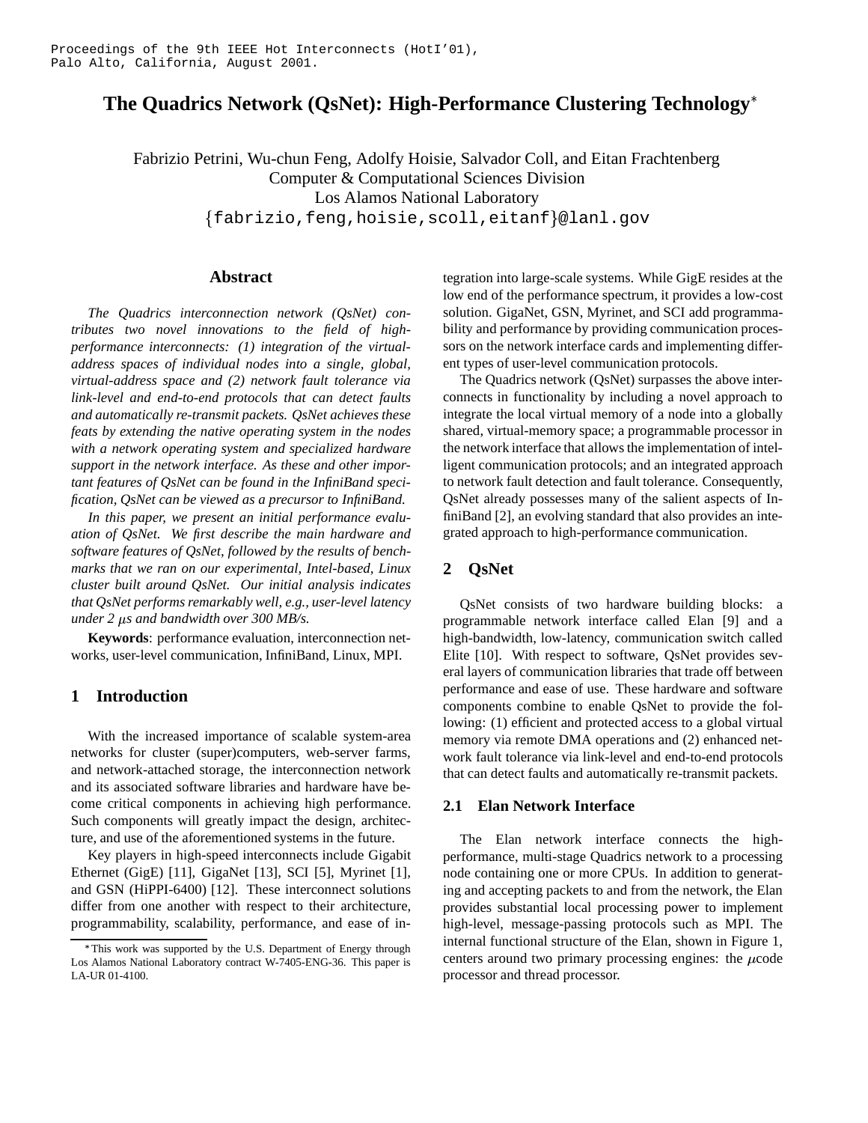# **The Quadrics Network (QsNet): High-Performance Clustering Technology**

Fabrizio Petrini, Wu-chun Feng, Adolfy Hoisie, Salvador Coll, and Eitan Frachtenberg Computer & Computational Sciences Division Los Alamos National Laboratory fabrizio,feng,hoisie,scoll,eitanf- @lanl.gov

## **Abstract**

*The Quadrics interconnection network (QsNet) contributes two novel innovations to the field of highperformance interconnects: (1) integration of the virtualaddress spaces of individual nodes into a single, global, virtual-address space and (2) network fault tolerance via link-level and end-to-end protocols that can detect faults and automatically re-transmit packets. QsNet achieves these feats by extending the native operating system in the nodes with a network operating system and specialized hardware support in the network interface. As these and other important features of QsNet can be found in the InfiniBand specification, QsNet can be viewed as a precursor to InfiniBand.*

*In this paper, we present an initial performance evaluation of QsNet. We first describe the main hardware and software features of QsNet, followed by the results of benchmarks that we ran on our experimental, Intel-based, Linux cluster built around QsNet. Our initial analysis indicates that QsNet performs remarkably well, e.g., user-level latency under 2 s and bandwidth over 300 MB/s.*

**Keywords**: performance evaluation, interconnection networks, user-level communication, InfiniBand, Linux, MPI.

# **1 Introduction**

With the increased importance of scalable system-area networks for cluster (super)computers, web-server farms, and network-attached storage, the interconnection network and its associated software libraries and hardware have become critical components in achieving high performance. Such components will greatly impact the design, architecture, and use of the aforementioned systems in the future.

Key players in high-speed interconnects include Gigabit Ethernet (GigE) [11], GigaNet [13], SCI [5], Myrinet [1], and GSN (HiPPI-6400) [12]. These interconnect solutions differ from one another with respect to their architecture, programmability, scalability, performance, and ease of integration into large-scale systems. While GigE resides at the low end of the performance spectrum, it provides a low-cost solution. GigaNet, GSN, Myrinet, and SCI add programmability and performance by providing communication processors on the network interface cards and implementing different types of user-level communication protocols.

The Quadrics network (QsNet) surpasses the above interconnects in functionality by including a novel approach to integrate the local virtual memory of a node into a globally shared, virtual-memory space; a programmable processor in the network interface that allows the implementation of intelligent communication protocols; and an integrated approach to network fault detection and fault tolerance. Consequently, QsNet already possesses many of the salient aspects of InfiniBand [2], an evolving standard that also provides an integrated approach to high-performance communication.

# **2 QsNet**

QsNet consists of two hardware building blocks: a programmable network interface called Elan [9] and a high-bandwidth, low-latency, communication switch called Elite [10]. With respect to software, QsNet provides several layers of communication libraries that trade off between performance and ease of use. These hardware and software components combine to enable QsNet to provide the following: (1) efficient and protected access to a global virtual memory via remote DMA operations and (2) enhanced network fault tolerance via link-level and end-to-end protocols that can detect faults and automatically re-transmit packets.

#### **2.1 Elan Network Interface**

The Elan network interface connects the highperformance, multi-stage Quadrics network to a processing node containing one or more CPUs. In addition to generating and accepting packets to and from the network, the Elan provides substantial local processing power to implement high-level, message-passing protocols such as MPI. The internal functional structure of the Elan, shown in Figure 1, centers around two primary processing engines: the  $\mu$ code processor and thread processor.

This work was supported by the U.S. Department of Energy through Los Alamos National Laboratory contract W-7405-ENG-36. This paper is LA-UR 01-4100.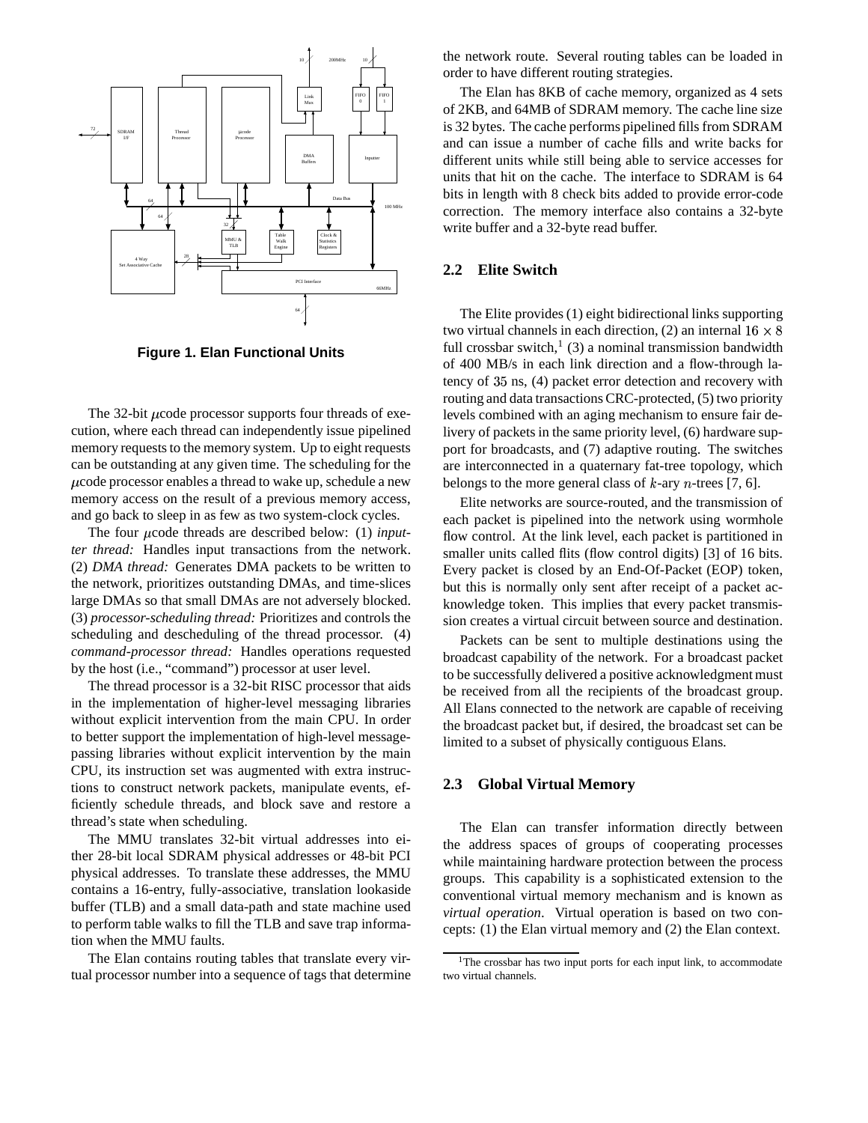

**Figure 1. Elan Functional Units**

The 32-bit  $\mu$ code processor supports four threads of execution, where each thread can independently issue pipelined memory requests to the memory system. Up to eight requests can be outstanding at any given time. The scheduling for the  $\mu$ code processor enables a thread to wake up, schedule a new memory access on the result of a previous memory access, and go back to sleep in as few as two system-clock cycles.

The four *u*code threads are described below: (1) *inputter thread:* Handles input transactions from the network. (2) *DMA thread:* Generates DMA packets to be written to the network, prioritizes outstanding DMAs, and time-slices large DMAs so that small DMAs are not adversely blocked. (3) *processor-scheduling thread:* Prioritizes and controls the scheduling and descheduling of the thread processor. (4) *command-processor thread:* Handles operations requested by the host (i.e., "command") processor at user level.

The thread processor is a 32-bit RISC processor that aids in the implementation of higher-level messaging libraries without explicit intervention from the main CPU. In order to better support the implementation of high-level messagepassing libraries without explicit intervention by the main CPU, its instruction set was augmented with extra instructions to construct network packets, manipulate events, efficiently schedule threads, and block save and restore a thread's state when scheduling.

The MMU translates 32-bit virtual addresses into either 28-bit local SDRAM physical addresses or 48-bit PCI physical addresses. To translate these addresses, the MMU contains a 16-entry, fully-associative, translation lookaside buffer (TLB) and a small data-path and state machine used to perform table walks to fill the TLB and save trap information when the MMU faults.

The Elan contains routing tables that translate every virtual processor number into a sequence of tags that determine the network route. Several routing tables can be loaded in order to have different routing strategies.

The Elan has 8KB of cache memory, organized as 4 sets of 2KB, and 64MB of SDRAM memory. The cache line size is 32 bytes. The cache performs pipelined fills from SDRAM and can issue a number of cache fills and write backs for different units while still being able to service accesses for units that hit on the cache. The interface to SDRAM is 64 bits in length with 8 check bits added to provide error-code correction. The memory interface also contains a 32-byte write buffer and a 32-byte read buffer.

## **2.2 Elite Switch**

The Elite provides (1) eight bidirectional links supporting two virtual channels in each direction, (2) an internal  $16 \times 8$ full crossbar switch,<sup>1</sup> (3) a nominal transmission bandwidth of 400 MB/s in each link direction and a flow-through latency of  $35$  ns,  $(4)$  packet error detection and recovery with routing and data transactions CRC-protected, (5) two priority levels combined with an aging mechanism to ensure fair delivery of packets in the same priority level, (6) hardware support for broadcasts, and (7) adaptive routing. The switches are interconnected in a quaternary fat-tree topology, which belongs to the more general class of  $k$ -ary  $n$ -trees [7, 6].

Elite networks are source-routed, and the transmission of each packet is pipelined into the network using wormhole flow control. At the link level, each packet is partitioned in smaller units called flits (flow control digits) [3] of 16 bits. Every packet is closed by an End-Of-Packet (EOP) token, but this is normally only sent after receipt of a packet acknowledge token. This implies that every packet transmission creates a virtual circuit between source and destination.

Packets can be sent to multiple destinations using the broadcast capability of the network. For a broadcast packet to be successfully delivered a positive acknowledgment must be received from all the recipients of the broadcast group. All Elans connected to the network are capable of receiving the broadcast packet but, if desired, the broadcast set can be limited to a subset of physically contiguous Elans.

#### **2.3 Global Virtual Memory**

The Elan can transfer information directly between the address spaces of groups of cooperating processes while maintaining hardware protection between the process groups. This capability is a sophisticated extension to the conventional virtual memory mechanism and is known as *virtual operation*. Virtual operation is based on two concepts: (1) the Elan virtual memory and (2) the Elan context.

<sup>&</sup>lt;sup>1</sup>The crossbar has two input ports for each input link, to accommodate two virtual channels.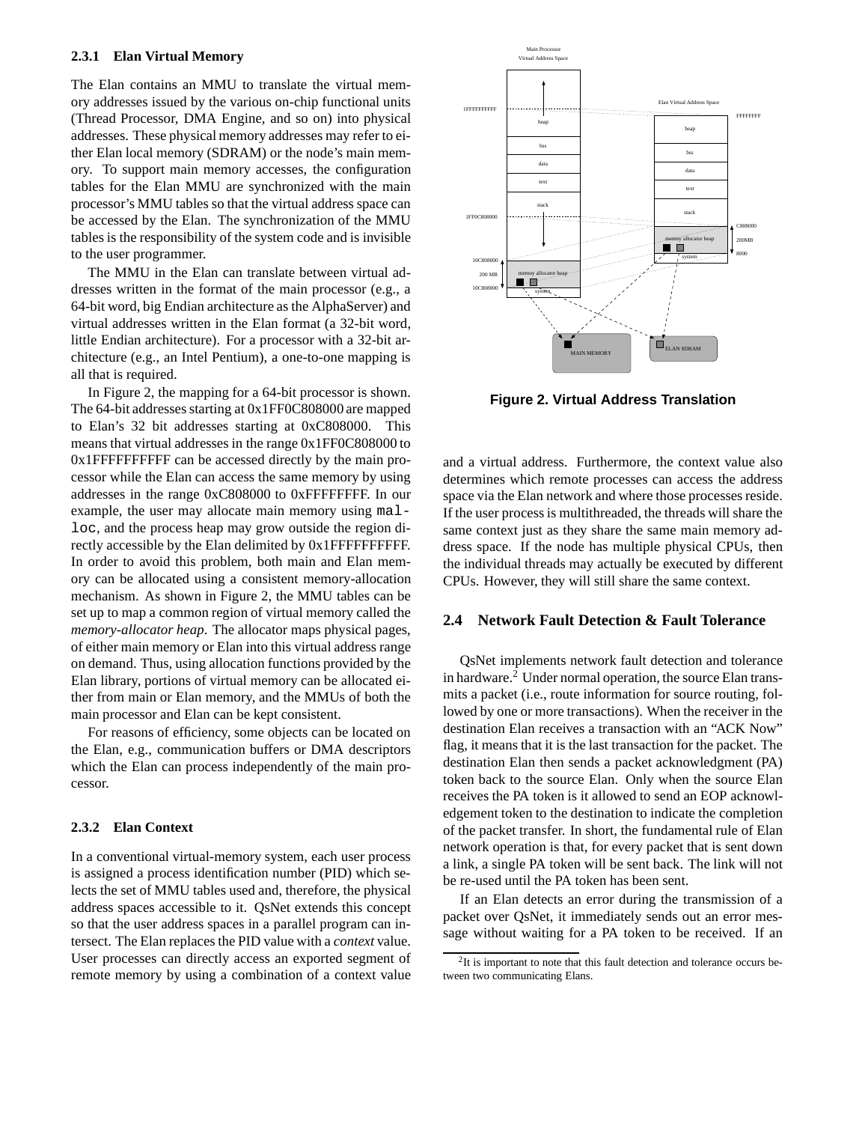#### **2.3.1 Elan Virtual Memory**

The Elan contains an MMU to translate the virtual memory addresses issued by the various on-chip functional units (Thread Processor, DMA Engine, and so on) into physical addresses. These physical memory addresses may refer to either Elan local memory (SDRAM) or the node's main memory. To support main memory accesses, the configuration tables for the Elan MMU are synchronized with the main processor's MMU tables so that the virtual address space can be accessed by the Elan. The synchronization of the MMU tables is the responsibility of the system code and is invisible to the user programmer.

The MMU in the Elan can translate between virtual addresses written in the format of the main processor (e.g., a 64-bit word, big Endian architecture as the AlphaServer) and virtual addresses written in the Elan format (a 32-bit word, little Endian architecture). For a processor with a 32-bit architecture (e.g., an Intel Pentium), a one-to-one mapping is all that is required.

In Figure 2, the mapping for a 64-bit processor is shown. The 64-bit addresses starting at 0x1FF0C808000 are mapped to Elan's 32 bit addresses starting at 0xC808000. This means that virtual addresses in the range 0x1FF0C808000 to 0x1FFFFFFFFFF can be accessed directly by the main processor while the Elan can access the same memory by using addresses in the range 0xC808000 to 0xFFFFFFFF. In our example, the user may allocate main memory using malloc, and the process heap may grow outside the region directly accessible by the Elan delimited by 0x1FFFFFFFFFF. In order to avoid this problem, both main and Elan memory can be allocated using a consistent memory-allocation mechanism. As shown in Figure 2, the MMU tables can be set up to map a common region of virtual memory called the *memory-allocator heap*. The allocator maps physical pages, of either main memory or Elan into this virtual address range on demand. Thus, using allocation functions provided by the Elan library, portions of virtual memory can be allocated either from main or Elan memory, and the MMUs of both the main processor and Elan can be kept consistent.

For reasons of efficiency, some objects can be located on the Elan, e.g., communication buffers or DMA descriptors which the Elan can process independently of the main processor.

#### **2.3.2 Elan Context**

In a conventional virtual-memory system, each user process is assigned a process identification number (PID) which selects the set of MMU tables used and, therefore, the physical address spaces accessible to it. QsNet extends this concept so that the user address spaces in a parallel program can intersect. The Elan replaces the PID value with a *context* value. User processes can directly access an exported segment of remote memory by using a combination of a context value



**Figure 2. Virtual Address Translation**

and a virtual address. Furthermore, the context value also determines which remote processes can access the address space via the Elan network and where those processes reside. If the user process is multithreaded, the threads will share the same context just as they share the same main memory address space. If the node has multiple physical CPUs, then the individual threads may actually be executed by different CPUs. However, they will still share the same context.

#### **2.4 Network Fault Detection & Fault Tolerance**

QsNet implements network fault detection and tolerance in hardware.<sup>2</sup> Under normal operation, the source Elan transmits a packet (i.e., route information for source routing, followed by one or more transactions). When the receiver in the destination Elan receives a transaction with an "ACK Now" flag, it means that it is the last transaction for the packet. The destination Elan then sends a packet acknowledgment (PA) token back to the source Elan. Only when the source Elan receives the PA token is it allowed to send an EOP acknowledgement token to the destination to indicate the completion of the packet transfer. In short, the fundamental rule of Elan network operation is that, for every packet that is sent down a link, a single PA token will be sent back. The link will not be re-used until the PA token has been sent.

If an Elan detects an error during the transmission of a packet over QsNet, it immediately sends out an error message without waiting for a PA token to be received. If an

 $2$ It is important to note that this fault detection and tolerance occurs between two communicating Elans.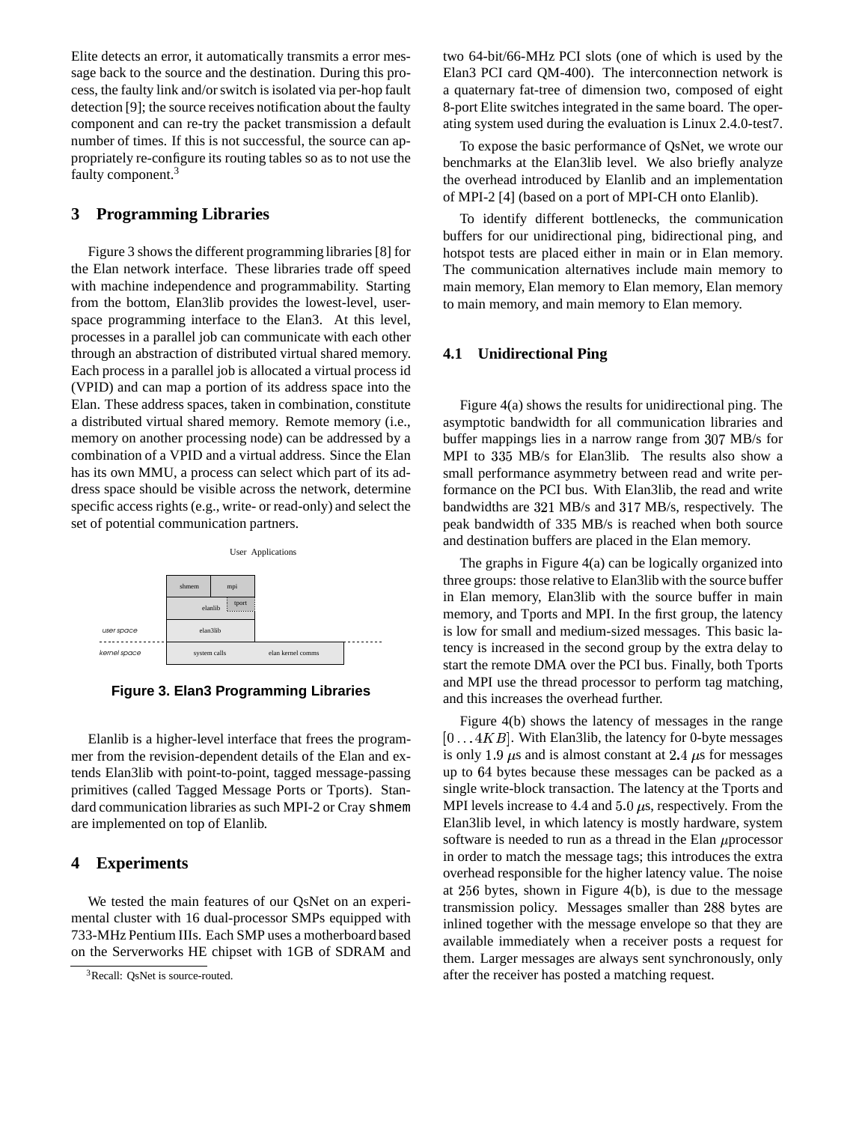Elite detects an error, it automatically transmits a error message back to the source and the destination. During this process, the faulty link and/orswitch is isolated via per-hop fault detection [9]; the source receives notification about the faulty component and can re-try the packet transmission a default number of times. If this is not successful, the source can appropriately re-configure its routing tables so as to not use the faulty component.<sup>3</sup>

# **3 Programming Libraries**

Figure 3 shows the different programming libraries [8] for the Elan network interface. These libraries trade off speed with machine independence and programmability. Starting from the bottom, Elan3lib provides the lowest-level, userspace programming interface to the Elan3. At this level, processes in a parallel job can communicate with each other through an abstraction of distributed virtual shared memory. Each process in a parallel job is allocated a virtual process id (VPID) and can map a portion of its address space into the Elan. These address spaces, taken in combination, constitute a distributed virtual shared memory. Remote memory (i.e., memory on another processing node) can be addressed by a combination of a VPID and a virtual address. Since the Elan has its own MMU, a process can select which part of its address space should be visible across the network, determine specific access rights (e.g., write- or read-only) and select the set of potential communication partners.



**Figure 3. Elan3 Programming Libraries**

Elanlib is a higher-level interface that frees the programmer from the revision-dependent details of the Elan and extends Elan3lib with point-to-point, tagged message-passing primitives (called Tagged Message Ports or Tports). Standard communication libraries as such MPI-2 or Cray shmem are implemented on top of Elanlib.

# **4 Experiments**

We tested the main features of our QsNet on an experimental cluster with 16 dual-processor SMPs equipped with 733-MHz Pentium IIIs. Each SMP uses a motherboard based on the Serverworks HE chipset with 1GB of SDRAM and

two 64-bit/66-MHz PCI slots (one of which is used by the Elan3 PCI card QM-400). The interconnection network is a quaternary fat-tree of dimension two, composed of eight 8-port Elite switches integrated in the same board. The operating system used during the evaluation is Linux 2.4.0-test7.

To expose the basic performance of QsNet, we wrote our benchmarks at the Elan3lib level. We also briefly analyze the overhead introduced by Elanlib and an implementation of MPI-2 [4] (based on a port of MPI-CH onto Elanlib).

To identify different bottlenecks, the communication buffers for our unidirectional ping, bidirectional ping, and hotspot tests are placed either in main or in Elan memory. The communication alternatives include main memory to main memory, Elan memory to Elan memory, Elan memory to main memory, and main memory to Elan memory.

# **4.1 Unidirectional Ping**

Figure 4(a) shows the results for unidirectional ping. The asymptotic bandwidth for all communication libraries and buffer mappings lies in a narrow range from 307 MB/s for MPI to 335 MB/s for Elan3lib. The results also show a small performance asymmetry between read and write performance on the PCI bus. With Elan3lib, the read and write bandwidths are 321 MB/s and 317 MB/s, respectively. The peak bandwidth of 335 MB/s is reached when both source and destination buffers are placed in the Elan memory.

The graphs in Figure 4(a) can be logically organized into three groups: those relative to Elan3lib with the source buffer in Elan memory, Elan3lib with the source buffer in main memory, and Tports and MPI. In the first group, the latency is low for small and medium-sized messages. This basic latency is increased in the second group by the extra delay to start the remote DMA over the PCI bus. Finally, both Tports and MPI use the thread processor to perform tag matching, and this increases the overhead further.

Figure 4(b) shows the latency of messages in the range  $[0...4KB]$ . With Elan3lib, the latency for 0-byte messages is only 1.9  $\mu$ s and is almost constant at 2.4  $\mu$ s for messages up to 64 bytes because these messages can be packed as a single write-block transaction. The latency at the Tports and MPI levels increase to 4.4 and  $5.0 \,\mu s$ , respectively. From the Elan3lib level, in which latency is mostly hardware, system software is needed to run as a thread in the Elan  $\mu$ processor in order to match the message tags; this introduces the extra overhead responsible for the higher latency value. The noise at  $256$  bytes, shown in Figure 4(b), is due to the message transmission policy. Messages smaller than 288 bytes are inlined together with the message envelope so that they are available immediately when a receiver posts a request for them. Larger messages are always sent synchronously, only after the receiver has posted a matching request.

<sup>&</sup>lt;sup>3</sup>Recall: QsNet is source-routed.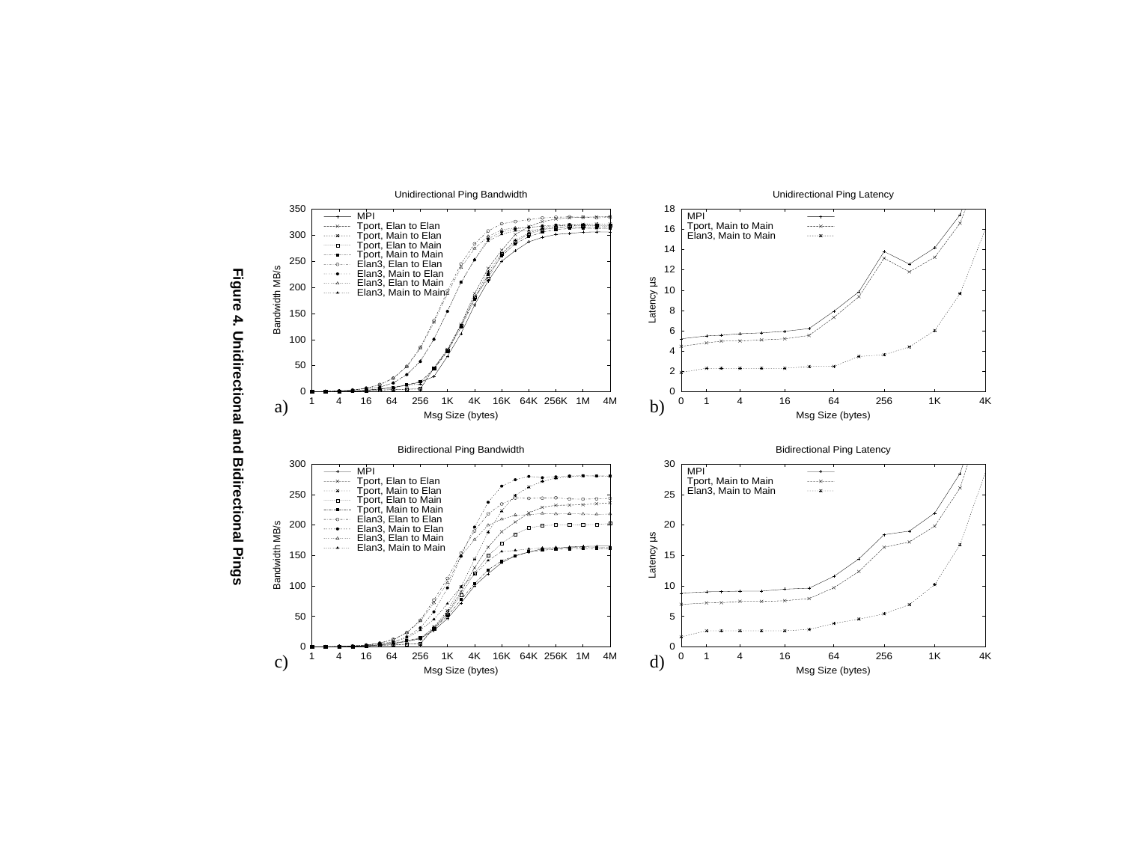

**Figure 4. Unidirectional and Bidirectional Pings**